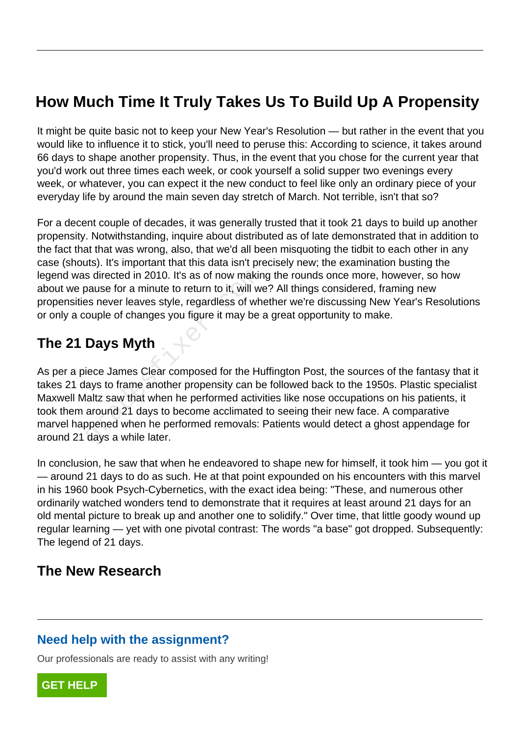# **How Much Time It Truly Takes Us To Build Up A Propensity**

It might be quite basic not to keep your New Year's Resolution — but rather in the event that you would like to influence it to stick, you'll need to peruse this: According to science, it takes around 66 days to shape another propensity. Thus, in the event that you chose for the current year that you'd work out three times each week, or cook yourself a solid supper two evenings every week, or whatever, you can expect it the new conduct to feel like only an ordinary piece of your everyday life by around the main seven day stretch of March. Not terrible, isn't that so?

For a decent couple of decades, it was generally trusted that it took 21 days to build up another propensity. Notwithstanding, inquire about distributed as of late demonstrated that in addition to the fact that that was wrong, also, that we'd all been misquoting the tidbit to each other in any case (shouts). It's important that this data isn't precisely new; the examination busting the legend was directed in 2010. It's as of now making the rounds once more, however, so how about we pause for a minute to return to it, will we? All things considered, framing new propensities never leaves style, regardless of whether we're discussing New Year's Resolutions or only a couple of changes you figure it may be a great opportunity to make.

### **The 21 Days Myth**

As per a piece James Clear composed for the Huffington Post, the sources of the fantasy that it takes 21 days to frame another propensity can be followed back to the 1950s. Plastic specialist Maxwell Maltz saw that when he performed activities like nose occupations on his patients, it took them around 21 days to become acclimated to seeing their new face. A comparative marvel happened when he performed removals: Patients would detect a ghost appendage for around 21 days a while later. s directed in 2010. It's as of now makino<br>bause for a minute to return to it, will we<br>besonever leaves style, regardless of wh<br>ouple of changes you figure it may be<br>**Days Myth**<br>iece James Clear composed for the Hu<br>ays to f

In conclusion, he saw that when he endeavored to shape new for himself, it took him — you got it — around 21 days to do as such. He at that point expounded on his encounters with this marvel in his 1960 book Psych-Cybernetics, with the exact idea being: "These, and numerous other ordinarily watched wonders tend to demonstrate that it requires at least around 21 days for an old mental picture to break up and another one to solidify." Over time, that little goody wound up regular learning — yet with one pivotal contrast: The words "a base" got dropped. Subsequently: The legend of 21 days.

### **The New Research**

#### **Need help with the assignment?**

Our professionals are ready to assist with any writing!

**[GET HELP](https://my.gradesfixer.com/order?utm_campaign=pdf_sample)**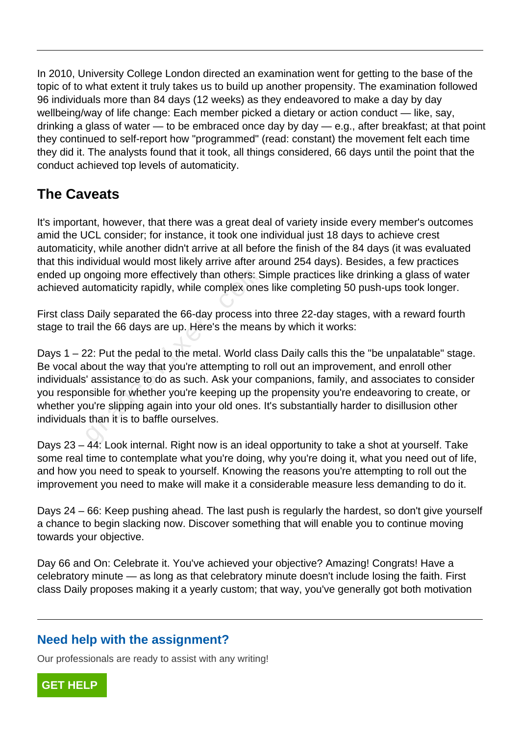In 2010, University College London directed an examination went for getting to the base of the topic of to what extent it truly takes us to build up another propensity. The examination followed 96 individuals more than 84 days (12 weeks) as they endeavored to make a day by day wellbeing/way of life change: Each member picked a dietary or action conduct — like, say, drinking a glass of water — to be embraced once day by day — e.g., after breakfast; at that point they continued to self-report how "programmed" (read: constant) the movement felt each time they did it. The analysts found that it took, all things considered, 66 days until the point that the conduct achieved top levels of automaticity.

## **The Caveats**

It's important, however, that there was a great deal of variety inside every member's outcomes amid the UCL consider; for instance, it took one individual just 18 days to achieve crest automaticity, while another didn't arrive at all before the finish of the 84 days (it was evaluated that this individual would most likely arrive after around 254 days). Besides, a few practices ended up ongoing more effectively than others: Simple practices like drinking a glass of water achieved automaticity rapidly, while complex ones like completing 50 push-ups took longer.

First class Daily separated the 66-day process into three 22-day stages, with a reward fourth stage to trail the 66 days are up. Here's the means by which it works:

Days 1 – 22: Put the pedal to the metal. World class Daily calls this the "be unpalatable" stage. Be vocal about the way that you're attempting to roll out an improvement, and enroll other individuals' assistance to do as such. Ask your companions, family, and associates to consider you responsible for whether you're keeping up the propensity you're endeavoring to create, or whether you're slipping again into your old ones. It's substantially harder to disillusion other individuals than it is to baffle ourselves. ongoing more effectively than others: Solutomaticity rapidly, while complex one<br>Daily separated the 66-day process in<br>ail the 66 days are up. Here's the mear<br>22: Put the pedal to the metal. World class<br>bout the way that yo

Days 23 – 44: Look internal. Right now is an ideal opportunity to take a shot at yourself. Take some real time to contemplate what you're doing, why you're doing it, what you need out of life, and how you need to speak to yourself. Knowing the reasons you're attempting to roll out the improvement you need to make will make it a considerable measure less demanding to do it.

Days 24 – 66: Keep pushing ahead. The last push is regularly the hardest, so don't give yourself a chance to begin slacking now. Discover something that will enable you to continue moving towards your objective.

Day 66 and On: Celebrate it. You've achieved your objective? Amazing! Congrats! Have a celebratory minute — as long as that celebratory minute doesn't include losing the faith. First class Daily proposes making it a yearly custom; that way, you've generally got both motivation

### **Need help with the assignment?**

Our professionals are ready to assist with any writing!